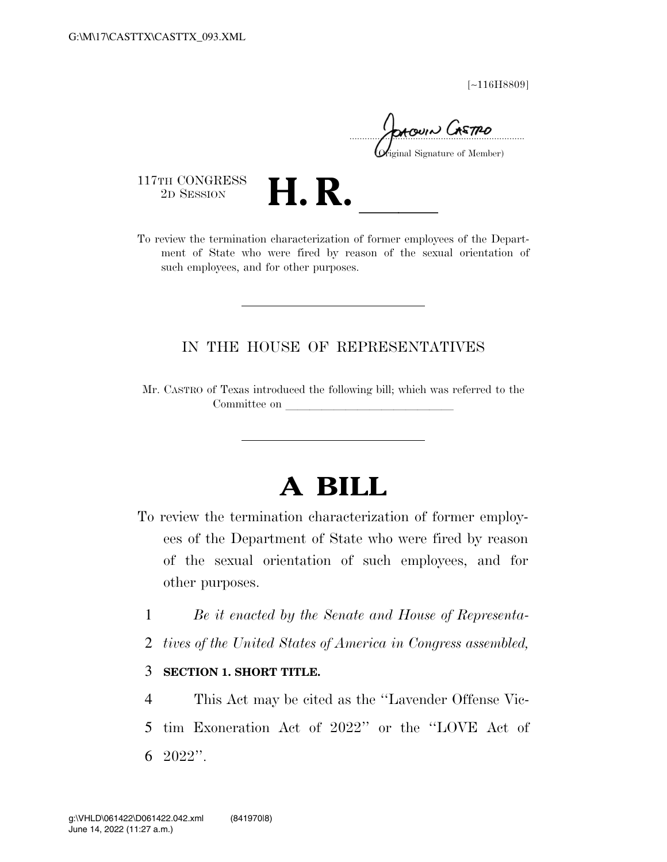[∼116H8809]

moun Gretpo

iginal Signature of Member)

117TH CONGRESS<br>2D SESSION

2D SESSION **H. R. H. R. CONGRESS** To review the termination characterization of former employees of the Department of State who were fired by reason of the sexual orientation of such employees, and for other purposes.

# IN THE HOUSE OF REPRESENTATIVES

Mr. CASTRO of Texas introduced the following bill; which was referred to the Committee on

# **A BILL**

- To review the termination characterization of former employees of the Department of State who were fired by reason of the sexual orientation of such employees, and for other purposes.
	- 1 *Be it enacted by the Senate and House of Representa-*
	- 2 *tives of the United States of America in Congress assembled,*
	- 3 **SECTION 1. SHORT TITLE.**

4 This Act may be cited as the ''Lavender Offense Vic-5 tim Exoneration Act of 2022'' or the ''LOVE Act of 6 2022''.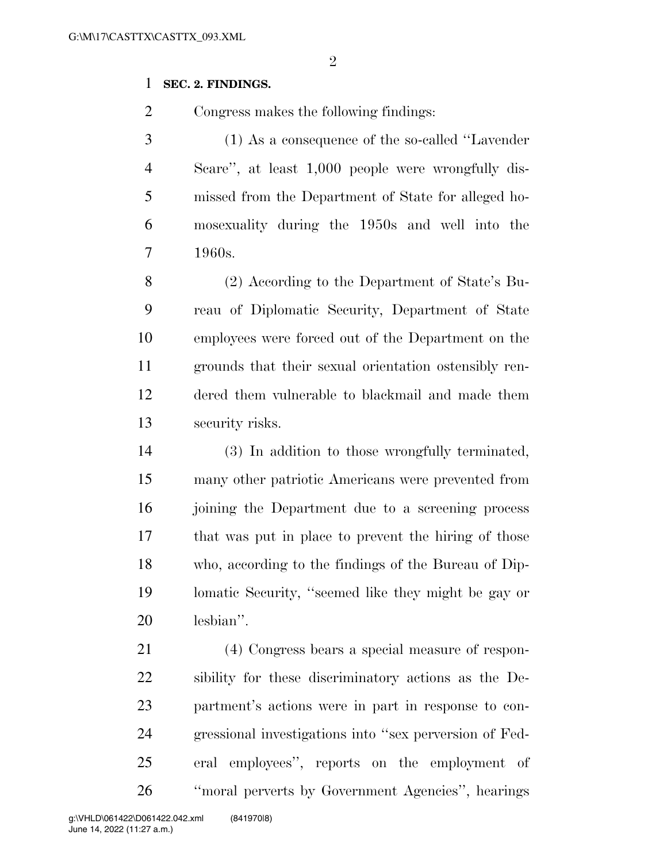# **SEC. 2. FINDINGS.**

Congress makes the following findings:

 (1) As a consequence of the so-called ''Lavender Scare'', at least 1,000 people were wrongfully dis- missed from the Department of State for alleged ho- mosexuality during the 1950s and well into the 1960s.

 (2) According to the Department of State's Bu- reau of Diplomatic Security, Department of State employees were forced out of the Department on the grounds that their sexual orientation ostensibly ren- dered them vulnerable to blackmail and made them security risks.

 (3) In addition to those wrongfully terminated, many other patriotic Americans were prevented from 16 joining the Department due to a screening process that was put in place to prevent the hiring of those who, according to the findings of the Bureau of Dip- lomatic Security, ''seemed like they might be gay or lesbian''.

 (4) Congress bears a special measure of respon- sibility for these discriminatory actions as the De- partment's actions were in part in response to con- gressional investigations into ''sex perversion of Fed- eral employees'', reports on the employment of ''moral perverts by Government Agencies'', hearings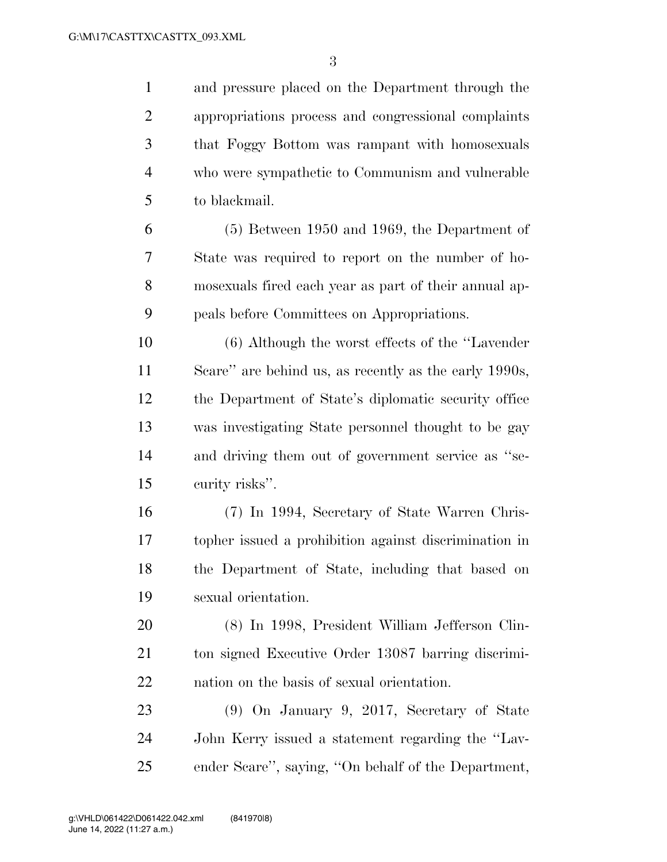and pressure placed on the Department through the appropriations process and congressional complaints that Foggy Bottom was rampant with homosexuals who were sympathetic to Communism and vulnerable to blackmail.

 (5) Between 1950 and 1969, the Department of State was required to report on the number of ho- mosexuals fired each year as part of their annual ap-peals before Committees on Appropriations.

 (6) Although the worst effects of the ''Lavender Scare'' are behind us, as recently as the early 1990s, the Department of State's diplomatic security office was investigating State personnel thought to be gay and driving them out of government service as ''se-curity risks''.

 (7) In 1994, Secretary of State Warren Chris- topher issued a prohibition against discrimination in the Department of State, including that based on sexual orientation.

 (8) In 1998, President William Jefferson Clin- ton signed Executive Order 13087 barring discrimi-nation on the basis of sexual orientation.

 (9) On January 9, 2017, Secretary of State John Kerry issued a statement regarding the ''Lav-ender Scare'', saying, ''On behalf of the Department,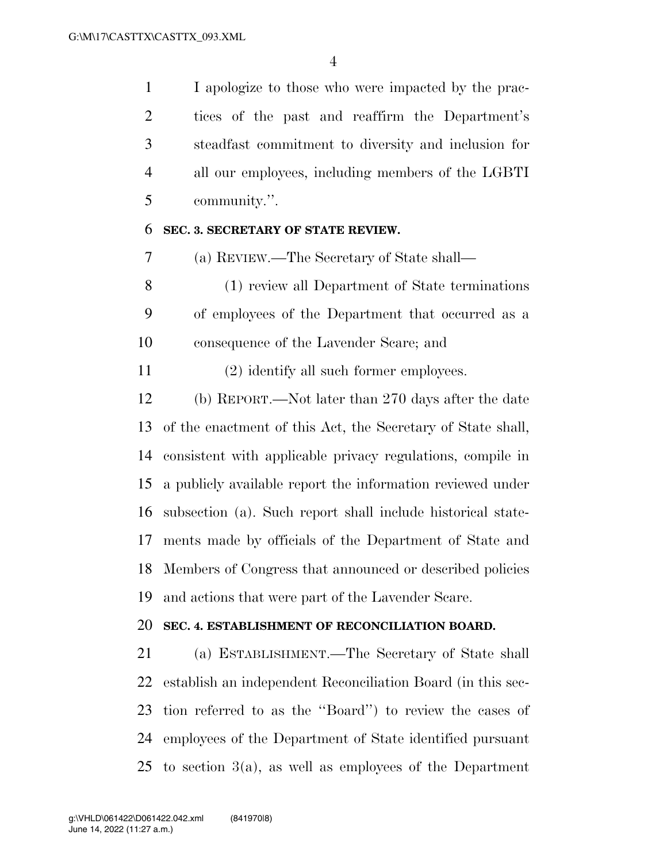I apologize to those who were impacted by the prac- tices of the past and reaffirm the Department's steadfast commitment to diversity and inclusion for all our employees, including members of the LGBTI community.''.

## **SEC. 3. SECRETARY OF STATE REVIEW.**

(a) REVIEW.—The Secretary of State shall—

 (1) review all Department of State terminations of employees of the Department that occurred as a consequence of the Lavender Scare; and

(2) identify all such former employees.

 (b) REPORT.—Not later than 270 days after the date of the enactment of this Act, the Secretary of State shall, consistent with applicable privacy regulations, compile in a publicly available report the information reviewed under subsection (a). Such report shall include historical state- ments made by officials of the Department of State and Members of Congress that announced or described policies and actions that were part of the Lavender Scare.

# **SEC. 4. ESTABLISHMENT OF RECONCILIATION BOARD.**

 (a) ESTABLISHMENT.—The Secretary of State shall establish an independent Reconciliation Board (in this sec- tion referred to as the ''Board'') to review the cases of employees of the Department of State identified pursuant to section 3(a), as well as employees of the Department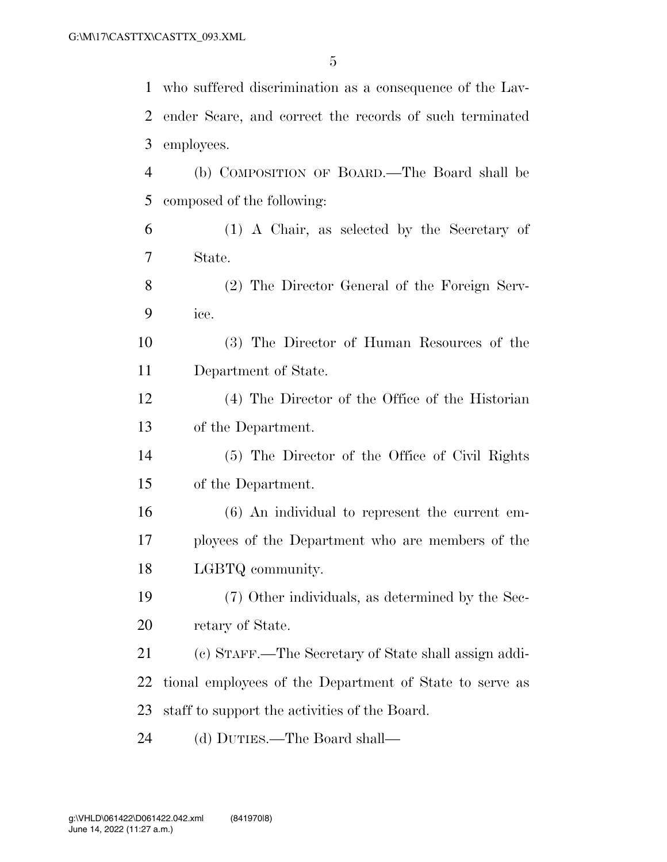who suffered discrimination as a consequence of the Lav- ender Scare, and correct the records of such terminated employees. (b) COMPOSITION OF BOARD.—The Board shall be composed of the following: (1) A Chair, as selected by the Secretary of State. (2) The Director General of the Foreign Serv- ice. (3) The Director of Human Resources of the Department of State. (4) The Director of the Office of the Historian of the Department. (5) The Director of the Office of Civil Rights of the Department. (6) An individual to represent the current em- ployees of the Department who are members of the LGBTQ community. (7) Other individuals, as determined by the Sec- retary of State. (c) STAFF.—The Secretary of State shall assign addi- tional employees of the Department of State to serve as staff to support the activities of the Board. (d) DUTIES.—The Board shall—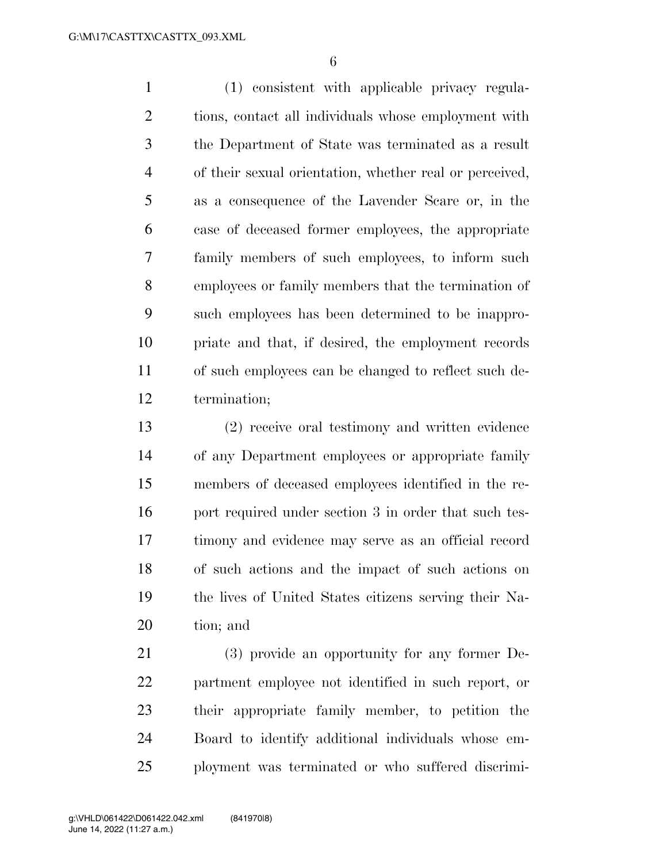(1) consistent with applicable privacy regula- tions, contact all individuals whose employment with the Department of State was terminated as a result of their sexual orientation, whether real or perceived, as a consequence of the Lavender Scare or, in the case of deceased former employees, the appropriate family members of such employees, to inform such employees or family members that the termination of such employees has been determined to be inappro- priate and that, if desired, the employment records of such employees can be changed to reflect such de-termination;

 (2) receive oral testimony and written evidence of any Department employees or appropriate family members of deceased employees identified in the re-16 port required under section 3 in order that such tes- timony and evidence may serve as an official record of such actions and the impact of such actions on the lives of United States citizens serving their Na-tion; and

 (3) provide an opportunity for any former De- partment employee not identified in such report, or their appropriate family member, to petition the Board to identify additional individuals whose em-ployment was terminated or who suffered discrimi-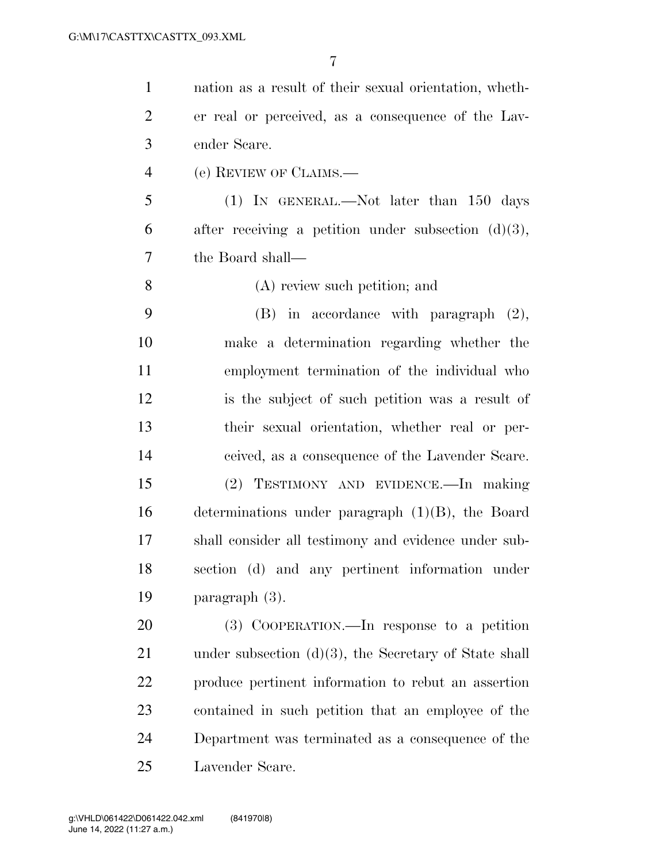nation as a result of their sexual orientation, wheth- er real or perceived, as a consequence of the Lav- ender Scare. (e) REVIEW OF CLAIMS.— (1) IN GENERAL.—Not later than 150 days 6 after receiving a petition under subsection  $(d)(3)$ , the Board shall— (A) review such petition; and (B) in accordance with paragraph (2), make a determination regarding whether the employment termination of the individual who is the subject of such petition was a result of their sexual orientation, whether real or per- ceived, as a consequence of the Lavender Scare. (2) TESTIMONY AND EVIDENCE.—In making determinations under paragraph (1)(B), the Board shall consider all testimony and evidence under sub- section (d) and any pertinent information under paragraph (3). (3) COOPERATION.—In response to a petition 21 under subsection (d)(3), the Secretary of State shall produce pertinent information to rebut an assertion contained in such petition that an employee of the Department was terminated as a consequence of the

Lavender Scare.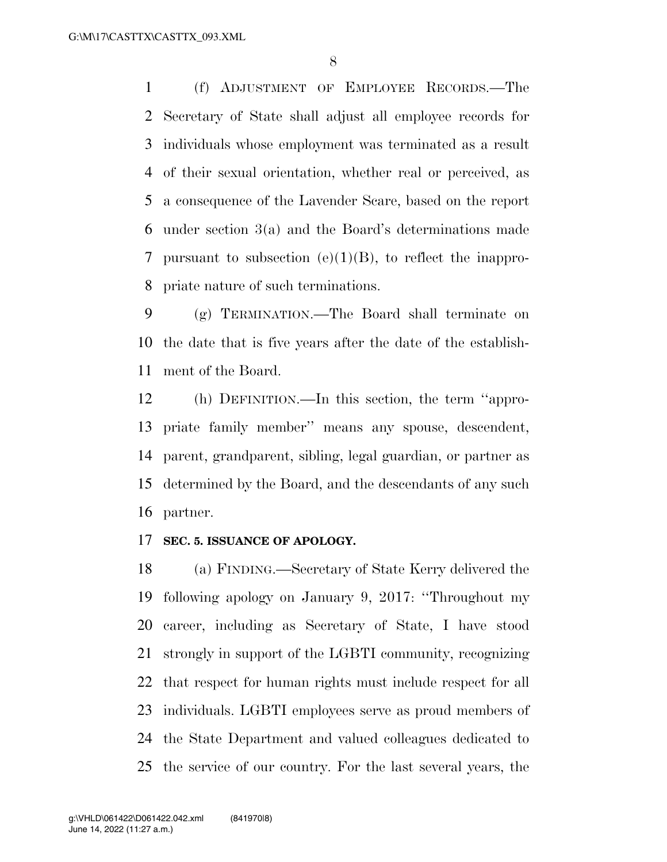(f) ADJUSTMENT OF EMPLOYEE RECORDS.—The Secretary of State shall adjust all employee records for individuals whose employment was terminated as a result of their sexual orientation, whether real or perceived, as a consequence of the Lavender Scare, based on the report under section 3(a) and the Board's determinations made pursuant to subsection (e)(1)(B), to reflect the inappro-priate nature of such terminations.

 (g) TERMINATION.—The Board shall terminate on the date that is five years after the date of the establish-ment of the Board.

 (h) DEFINITION.—In this section, the term ''appro- priate family member'' means any spouse, descendent, parent, grandparent, sibling, legal guardian, or partner as determined by the Board, and the descendants of any such partner.

#### **SEC. 5. ISSUANCE OF APOLOGY.**

 (a) FINDING.—Secretary of State Kerry delivered the following apology on January 9, 2017: ''Throughout my career, including as Secretary of State, I have stood strongly in support of the LGBTI community, recognizing that respect for human rights must include respect for all individuals. LGBTI employees serve as proud members of the State Department and valued colleagues dedicated to the service of our country. For the last several years, the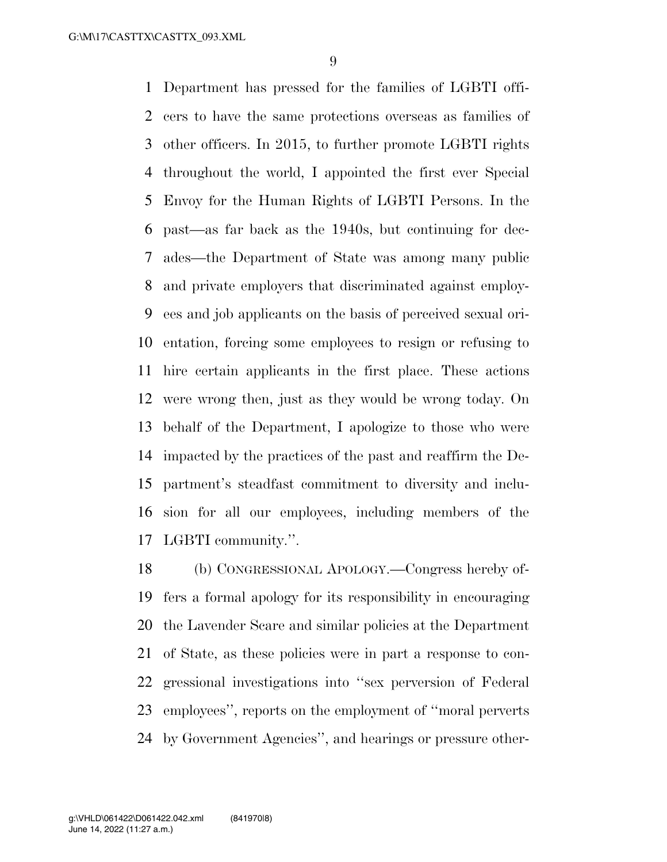Department has pressed for the families of LGBTI offi- cers to have the same protections overseas as families of other officers. In 2015, to further promote LGBTI rights throughout the world, I appointed the first ever Special Envoy for the Human Rights of LGBTI Persons. In the past—as far back as the 1940s, but continuing for dec- ades—the Department of State was among many public and private employers that discriminated against employ- ees and job applicants on the basis of perceived sexual ori- entation, forcing some employees to resign or refusing to hire certain applicants in the first place. These actions were wrong then, just as they would be wrong today. On behalf of the Department, I apologize to those who were impacted by the practices of the past and reaffirm the De- partment's steadfast commitment to diversity and inclu- sion for all our employees, including members of the LGBTI community.''.

 (b) CONGRESSIONAL APOLOGY.—Congress hereby of- fers a formal apology for its responsibility in encouraging the Lavender Scare and similar policies at the Department of State, as these policies were in part a response to con- gressional investigations into ''sex perversion of Federal employees'', reports on the employment of ''moral perverts by Government Agencies'', and hearings or pressure other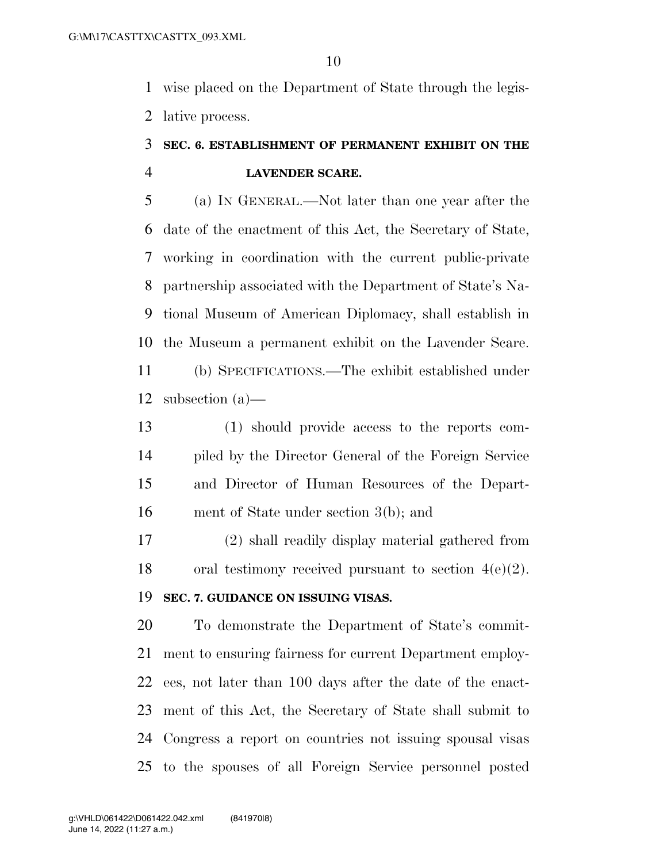wise placed on the Department of State through the legis-lative process.

# **SEC. 6. ESTABLISHMENT OF PERMANENT EXHIBIT ON THE LAVENDER SCARE.**

 (a) IN GENERAL.—Not later than one year after the date of the enactment of this Act, the Secretary of State, working in coordination with the current public-private partnership associated with the Department of State's Na- tional Museum of American Diplomacy, shall establish in the Museum a permanent exhibit on the Lavender Scare. (b) SPECIFICATIONS.—The exhibit established under

subsection (a)—

 (1) should provide access to the reports com- piled by the Director General of the Foreign Service and Director of Human Resources of the Depart-ment of State under section 3(b); and

 (2) shall readily display material gathered from 18 oral testimony received pursuant to section  $4(e)(2)$ .

# **SEC. 7. GUIDANCE ON ISSUING VISAS.**

 To demonstrate the Department of State's commit- ment to ensuring fairness for current Department employ- ees, not later than 100 days after the date of the enact- ment of this Act, the Secretary of State shall submit to Congress a report on countries not issuing spousal visas to the spouses of all Foreign Service personnel posted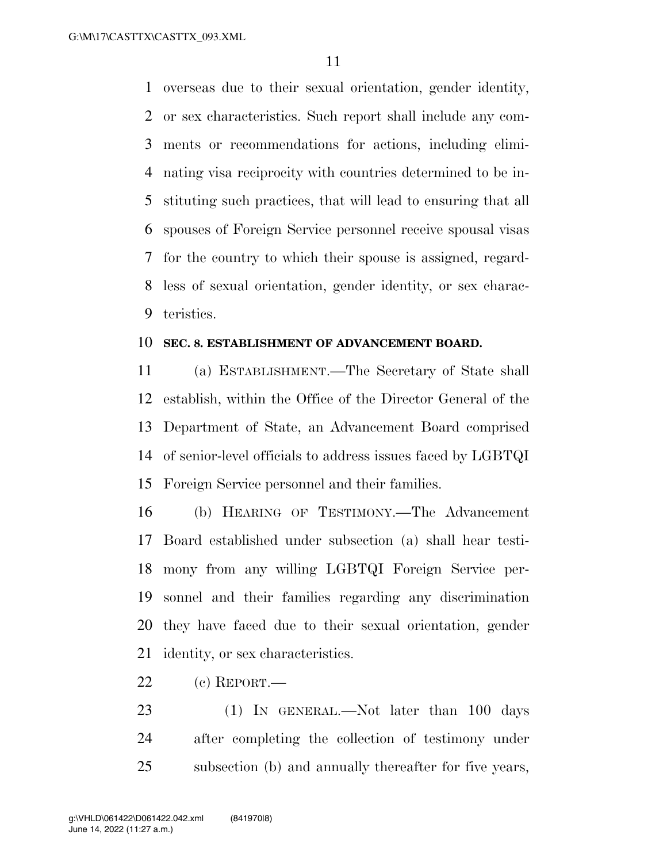overseas due to their sexual orientation, gender identity, or sex characteristics. Such report shall include any com- ments or recommendations for actions, including elimi- nating visa reciprocity with countries determined to be in- stituting such practices, that will lead to ensuring that all spouses of Foreign Service personnel receive spousal visas for the country to which their spouse is assigned, regard- less of sexual orientation, gender identity, or sex charac-teristics.

#### **SEC. 8. ESTABLISHMENT OF ADVANCEMENT BOARD.**

 (a) ESTABLISHMENT.—The Secretary of State shall establish, within the Office of the Director General of the Department of State, an Advancement Board comprised of senior-level officials to address issues faced by LGBTQI Foreign Service personnel and their families.

 (b) HEARING OF TESTIMONY.—The Advancement Board established under subsection (a) shall hear testi- mony from any willing LGBTQI Foreign Service per- sonnel and their families regarding any discrimination they have faced due to their sexual orientation, gender identity, or sex characteristics.

- (c) REPORT.—
- 23 (1) IN GENERAL.—Not later than 100 days after completing the collection of testimony under subsection (b) and annually thereafter for five years,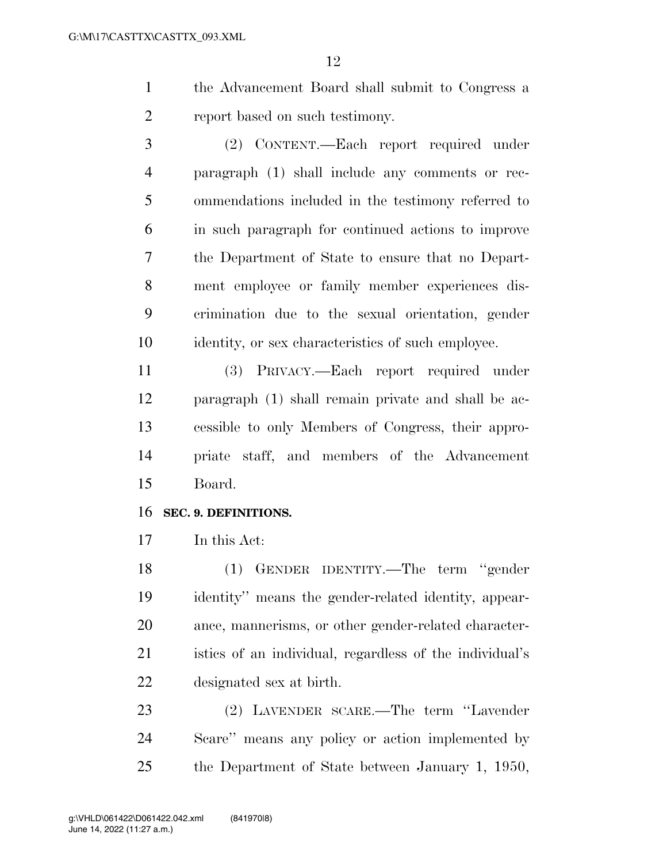- the Advancement Board shall submit to Congress a report based on such testimony.
- (2) CONTENT.—Each report required under paragraph (1) shall include any comments or rec- ommendations included in the testimony referred to in such paragraph for continued actions to improve the Department of State to ensure that no Depart- ment employee or family member experiences dis- crimination due to the sexual orientation, gender identity, or sex characteristics of such employee.

 (3) PRIVACY.—Each report required under paragraph (1) shall remain private and shall be ac- cessible to only Members of Congress, their appro- priate staff, and members of the Advancement Board.

## **SEC. 9. DEFINITIONS.**

In this Act:

 (1) GENDER IDENTITY.—The term ''gender identity'' means the gender-related identity, appear- ance, mannerisms, or other gender-related character- istics of an individual, regardless of the individual's designated sex at birth.

 (2) LAVENDER SCARE.—The term ''Lavender Scare'' means any policy or action implemented by the Department of State between January 1, 1950,